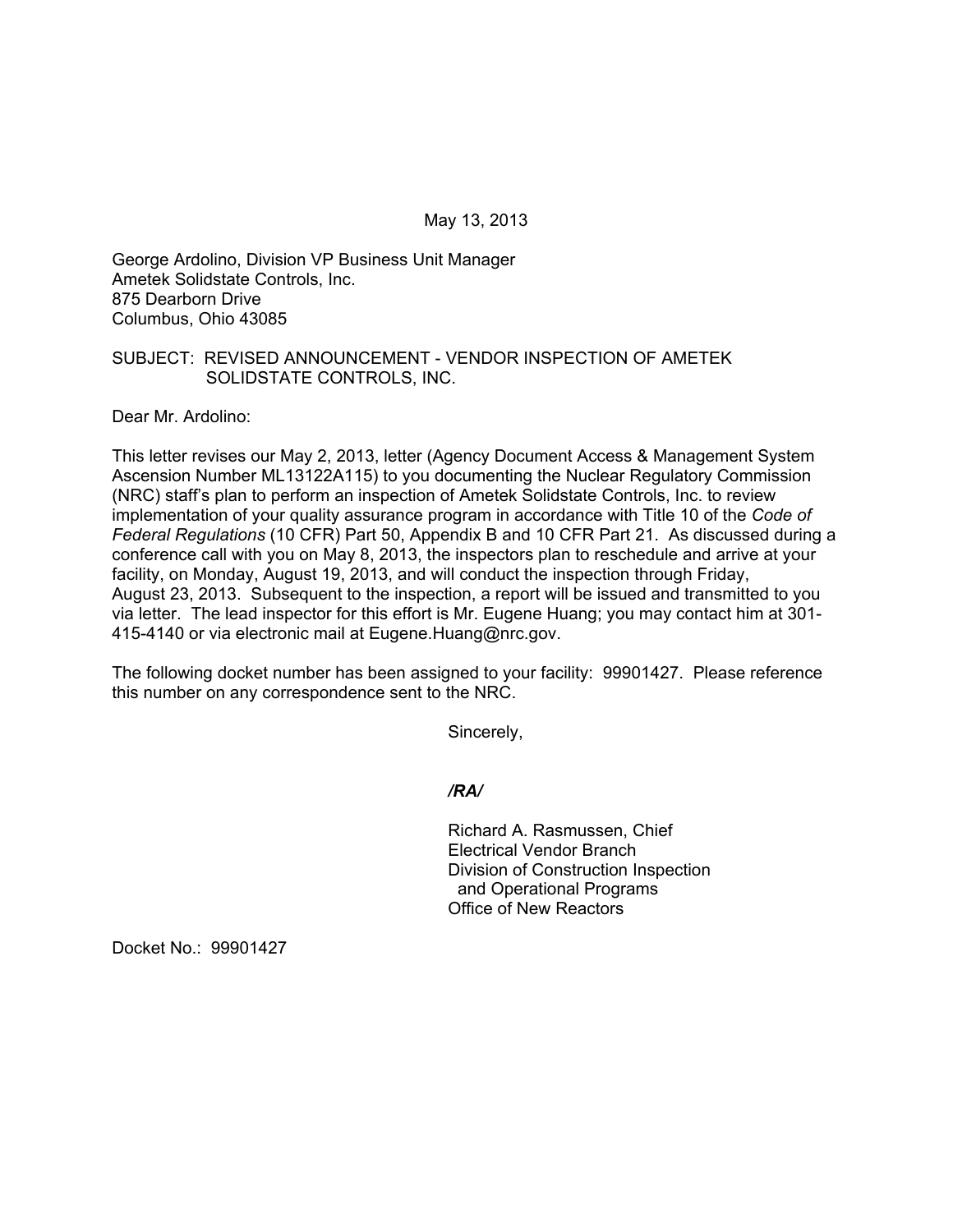May 13, 2013

George Ardolino, Division VP Business Unit Manager Ametek Solidstate Controls, Inc. 875 Dearborn Drive Columbus, Ohio 43085

## SUBJECT: REVISED ANNOUNCEMENT - VENDOR INSPECTION OF AMETEK SOLIDSTATE CONTROLS, INC.

Dear Mr. Ardolino:

This letter revises our May 2, 2013, letter (Agency Document Access & Management System Ascension Number ML13122A115) to you documenting the Nuclear Regulatory Commission (NRC) staff's plan to perform an inspection of Ametek Solidstate Controls, Inc. to review implementation of your quality assurance program in accordance with Title 10 of the *Code of Federal Regulations* (10 CFR) Part 50, Appendix B and 10 CFR Part 21. As discussed during a conference call with you on May 8, 2013, the inspectors plan to reschedule and arrive at your facility, on Monday, August 19, 2013, and will conduct the inspection through Friday, August 23, 2013. Subsequent to the inspection, a report will be issued and transmitted to you via letter. The lead inspector for this effort is Mr. Eugene Huang; you may contact him at 301- 415-4140 or via electronic mail at Eugene.Huang@nrc.gov.

The following docket number has been assigned to your facility: 99901427. Please reference this number on any correspondence sent to the NRC.

Sincerely,

*/RA/* 

Richard A. Rasmussen, Chief Electrical Vendor Branch Division of Construction Inspection and Operational Programs Office of New Reactors

Docket No.: 99901427